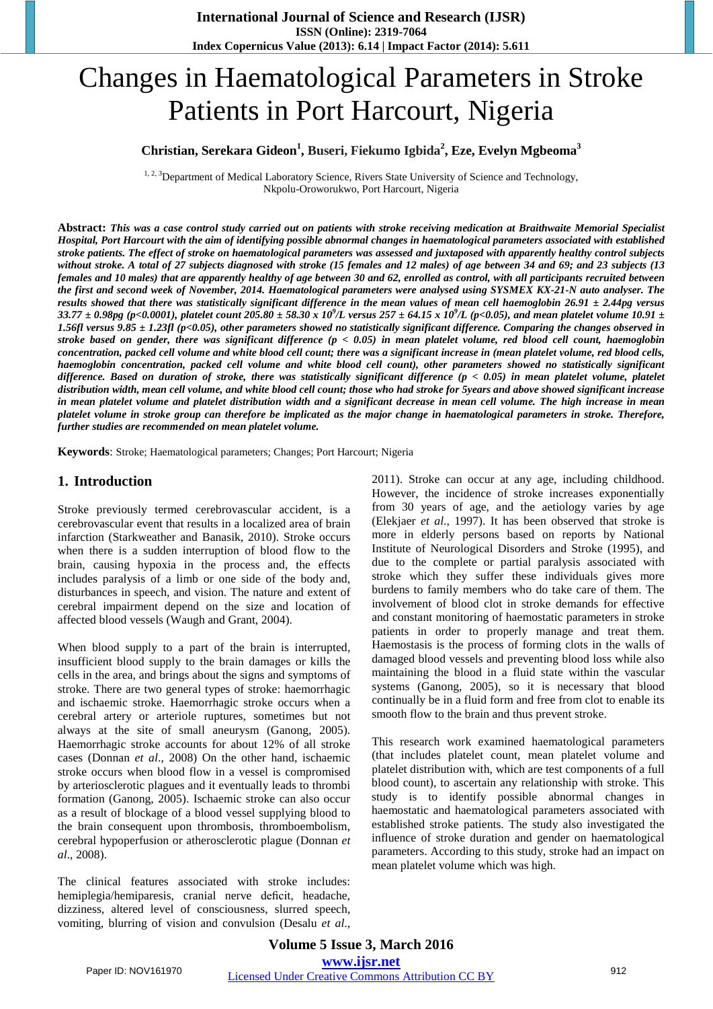# Changes in Haematological Parameters in Stroke Patients in Port Harcourt, Nigeria

# **Christian, Serekara Gideon1 , Buseri, Fiekumo Igbida<sup>2</sup> , Eze, Evelyn Mgbeoma<sup>3</sup>**

<sup>1, 2, 3</sup>Department of Medical Laboratory Science, Rivers State University of Science and Technology, Nkpolu-Oroworukwo, Port Harcourt, Nigeria

**Abstract:** *This was a case control study carried out on patients with stroke receiving medication at Braithwaite Memorial Specialist Hospital, Port Harcourt with the aim of identifying possible abnormal changes in haematological parameters associated with established stroke patients. The effect of stroke on haematological parameters was assessed and juxtaposed with apparently healthy control subjects without stroke. A total of 27 subjects diagnosed with stroke (15 females and 12 males) of age between 34 and 69; and 23 subjects (13 females and 10 males) that are apparently healthy of age between 30 and 62, enrolled as control, with all participants recruited between the first and second week of November, 2014. Haematological parameters were analysed using SYSMEX KX-21-N auto analyser. The results showed that there was statistically significant difference in the mean values of mean cell haemoglobin 26.91 ± 2.44pg versus*   $33.77 \pm 0.98$ pg (p<0.0001), platelet count  $205.80 \pm 58.30$  x  $10^9$ /L versus  $257 \pm 64.15$  x  $10^9$ /L (p<0.05), and mean platelet volume  $10.91 \pm$ *1.56fl versus 9.85 ± 1.23fl (p<0.05), other parameters showed no statistically significant difference. Comparing the changes observed in stroke based on gender, there was significant difference (p < 0.05) in mean platelet volume, red blood cell count, haemoglobin concentration, packed cell volume and white blood cell count; there was a significant increase in (mean platelet volume, red blood cells, haemoglobin concentration, packed cell volume and white blood cell count), other parameters showed no statistically significant difference. Based on duration of stroke, there was statistically significant difference (p < 0.05) in mean platelet volume, platelet distribution width, mean cell volume, and white blood cell count; those who had stroke for 5years and above showed significant increase in mean platelet volume and platelet distribution width and a significant decrease in mean cell volume. The high increase in mean platelet volume in stroke group can therefore be implicated as the major change in haematological parameters in stroke. Therefore, further studies are recommended on mean platelet volume.* 

**Keywords**: Stroke; Haematological parameters; Changes; Port Harcourt; Nigeria

## **1. Introduction**

Stroke previously termed cerebrovascular accident, is a cerebrovascular event that results in a localized area of brain infarction (Starkweather and Banasik, 2010). Stroke occurs when there is a sudden interruption of blood flow to the brain, causing hypoxia in the process and, the effects includes paralysis of a limb or one side of the body and, disturbances in speech, and vision. The nature and extent of cerebral impairment depend on the size and location of affected blood vessels (Waugh and Grant, 2004).

When blood supply to a part of the brain is interrupted, insufficient blood supply to the brain damages or kills the cells in the area, and brings about the signs and symptoms of stroke. There are two general types of stroke: haemorrhagic and ischaemic stroke. Haemorrhagic stroke occurs when a cerebral artery or arteriole ruptures, sometimes but not always at the site of small aneurysm (Ganong, 2005). Haemorrhagic stroke accounts for about 12% of all stroke cases (Donnan *et al*., 2008) On the other hand, ischaemic stroke occurs when blood flow in a vessel is compromised by arteriosclerotic plagues and it eventually leads to thrombi formation (Ganong, 2005). Ischaemic stroke can also occur as a result of blockage of a blood vessel supplying blood to the brain consequent upon thrombosis, thromboembolism, cerebral hypoperfusion or atherosclerotic plague (Donnan *et al*., 2008).

The clinical features associated with stroke includes: hemiplegia/hemiparesis, cranial nerve deficit, headache, dizziness, altered level of consciousness, slurred speech, vomiting, blurring of vision and convulsion (Desalu *et al*., 2011). Stroke can occur at any age, including childhood. However, the incidence of stroke increases exponentially from 30 years of age, and the aetiology varies by age (Elekjaer *et al*., 1997). It has been observed that stroke is more in elderly persons based on reports by National Institute of Neurological Disorders and Stroke (1995), and due to the complete or partial paralysis associated with stroke which they suffer these individuals gives more burdens to family members who do take care of them. The involvement of blood clot in stroke demands for effective and constant monitoring of haemostatic parameters in stroke patients in order to properly manage and treat them. Haemostasis is the process of forming clots in the walls of damaged blood vessels and preventing blood loss while also maintaining the blood in a fluid state within the vascular systems (Ganong, 2005), so it is necessary that blood continually be in a fluid form and free from clot to enable its smooth flow to the brain and thus prevent stroke.

This research work examined haematological parameters (that includes platelet count, mean platelet volume and platelet distribution with, which are test components of a full blood count), to ascertain any relationship with stroke. This study is to identify possible abnormal changes in haemostatic and haematological parameters associated with established stroke patients. The study also investigated the influence of stroke duration and gender on haematological parameters. According to this study, stroke had an impact on mean platelet volume which was high.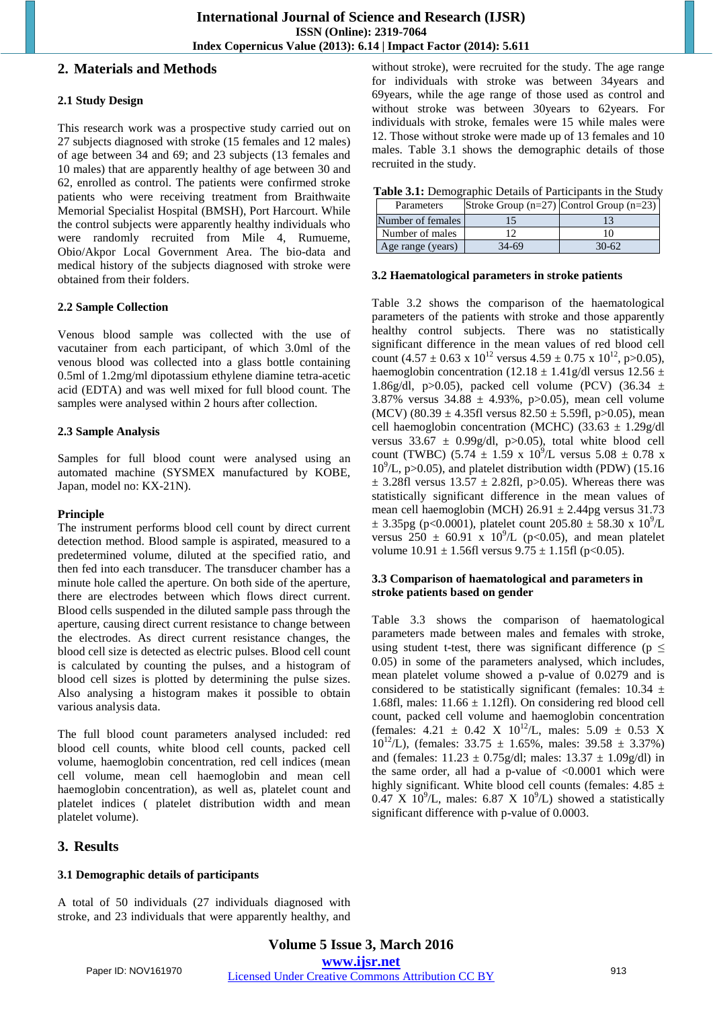## **2. Materials and Methods**

## **2.1 Study Design**

This research work was a prospective study carried out on 27 subjects diagnosed with stroke (15 females and 12 males) of age between 34 and 69; and 23 subjects (13 females and 10 males) that are apparently healthy of age between 30 and 62, enrolled as control. The patients were confirmed stroke patients who were receiving treatment from Braithwaite Memorial Specialist Hospital (BMSH), Port Harcourt. While the control subjects were apparently healthy individuals who were randomly recruited from Mile 4, Rumueme, Obio/Akpor Local Government Area. The bio-data and medical history of the subjects diagnosed with stroke were obtained from their folders.

### **2.2 Sample Collection**

Venous blood sample was collected with the use of vacutainer from each participant, of which 3.0ml of the venous blood was collected into a glass bottle containing 0.5ml of 1.2mg/ml dipotassium ethylene diamine tetra-acetic acid (EDTA) and was well mixed for full blood count. The samples were analysed within 2 hours after collection.

## **2.3 Sample Analysis**

Samples for full blood count were analysed using an automated machine (SYSMEX manufactured by KOBE, Japan, model no: KX-21N).

#### **Principle**

The instrument performs blood cell count by direct current detection method. Blood sample is aspirated, measured to a predetermined volume, diluted at the specified ratio, and then fed into each transducer. The transducer chamber has a minute hole called the aperture. On both side of the aperture, there are electrodes between which flows direct current. Blood cells suspended in the diluted sample pass through the aperture, causing direct current resistance to change between the electrodes. As direct current resistance changes, the blood cell size is detected as electric pulses. Blood cell count is calculated by counting the pulses, and a histogram of blood cell sizes is plotted by determining the pulse sizes. Also analysing a histogram makes it possible to obtain various analysis data.

The full blood count parameters analysed included: red blood cell counts, white blood cell counts, packed cell volume, haemoglobin concentration, red cell indices (mean cell volume, mean cell haemoglobin and mean cell haemoglobin concentration), as well as, platelet count and platelet indices ( platelet distribution width and mean platelet volume).

without stroke), were recruited for the study. The age range for individuals with stroke was between 34years and 69years, while the age range of those used as control and without stroke was between 30years to 62years. For individuals with stroke, females were 15 while males were 12. Those without stroke were made up of 13 females and 10 males. Table 3.1 shows the demographic details of those recruited in the study.

| Table 3.1: Demographic Details of Participants in the Study |  |  |
|-------------------------------------------------------------|--|--|
|                                                             |  |  |

| Parameters        |         | Stroke Group $(n=27)$ Control Group $(n=23)$ |  |
|-------------------|---------|----------------------------------------------|--|
| Number of females |         |                                              |  |
| Number of males   |         |                                              |  |
| Age range (years) | $34-69$ | $30-62$                                      |  |

#### **3.2 Haematological parameters in stroke patients**

Table 3.2 shows the comparison of the haematological parameters of the patients with stroke and those apparently healthy control subjects. There was no statistically significant difference in the mean values of red blood cell count (4.57  $\pm$  0.63 x 10<sup>12</sup> versus 4.59  $\pm$  0.75 x 10<sup>12</sup>, p>0.05), haemoglobin concentration (12.18  $\pm$  1.41g/dl versus 12.56  $\pm$ 1.86g/dl, p>0.05), packed cell volume (PCV) (36.34  $\pm$ 3.87% versus 34.88 ± 4.93%, p>0.05), mean cell volume (MCV) (80.39  $\pm$  4.35fl versus 82.50  $\pm$  5.59fl, p>0.05), mean cell haemoglobin concentration (MCHC) (33.63  $\pm$  1.29g/dl versus  $33.67 \pm 0.99$  g/dl, p $>0.05$ ), total white blood cell count (TWBC)  $(5.74 \pm 1.59 \times 10^9/\text{L} \text{ versus } 5.08 \pm 0.78 \times 10^9/\text{L} \text{ versus } 5.08 \pm 0.78 \times 10^9/\text{L} \text{ versus } 5.08 \pm 0.78 \times 10^9/\text{L} \text{ versus } 5.08 \pm 0.78 \times 10^9/\text{L} \text{ versus } 5.08 \pm 0.78 \times 10^9/\text{L} \text{ versus } 5.08 \pm 0.78 \times 10^9/\text{L} \text{ versus } 5.0$  $10<sup>9</sup>/L$ , p $>0.05$ ), and platelet distribution width (PDW) (15.16  $\pm$  3.28fl versus 13.57  $\pm$  2.82fl, p>0.05). Whereas there was statistically significant difference in the mean values of mean cell haemoglobin (MCH)  $26.91 \pm 2.44$ pg versus 31.73  $\pm$  3.35pg (p<0.0001), platelet count 205.80  $\pm$  58.30 x 10<sup>9</sup>/L versus  $250 \pm 60.91$  x  $10^{9}/L$  (p<0.05), and mean platelet volume  $10.91 \pm 1.56$ fl versus  $9.75 \pm 1.15$ fl (p<0.05).

#### **3.3 Comparison of haematological and parameters in stroke patients based on gender**

Table 3.3 shows the comparison of haematological parameters made between males and females with stroke, using student t-test, there was significant difference ( $p \leq$ 0.05) in some of the parameters analysed, which includes, mean platelet volume showed a p-value of 0.0279 and is considered to be statistically significant (females:  $10.34 \pm$ 1.68fl, males:  $11.66 \pm 1.12$ fl). On considering red blood cell count, packed cell volume and haemoglobin concentration (females:  $4.21 \pm 0.42$  X  $10^{12}/L$ , males:  $5.09 \pm 0.53$  X 10<sup>12</sup>/L), (females:  $33.75 \pm 1.65\%$ , males:  $39.58 \pm 3.37\%$ ) and (females:  $11.23 \pm 0.75$ g/dl; males:  $13.37 \pm 1.09$ g/dl) in the same order, all had a p-value of  $< 0.0001$  which were highly significant. White blood cell counts (females:  $4.85 \pm$  $0.47 \text{ X } 10^9/\text{L}$ , males: 6.87 X  $10^9/\text{L}$ ) showed a statistically significant difference with p-value of 0.0003.

## **3. Results**

# **3.1 Demographic details of participants**

A total of 50 individuals (27 individuals diagnosed with stroke, and 23 individuals that were apparently healthy, and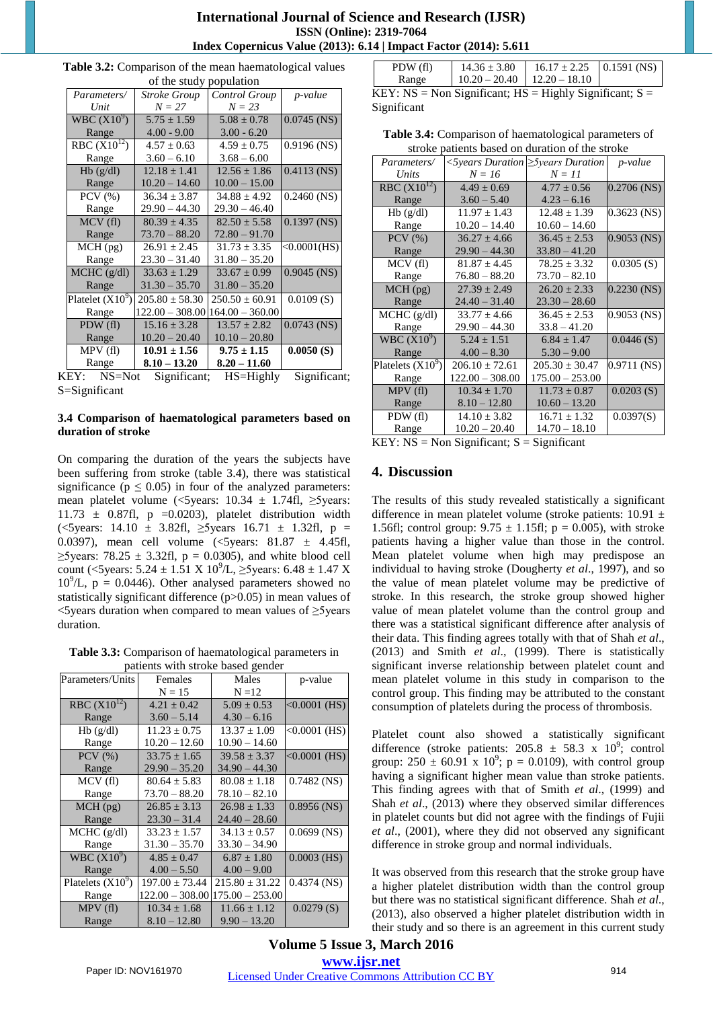| <b>International Journal of Science and Research (IJSR)</b>              |
|--------------------------------------------------------------------------|
| <b>ISSN</b> (Online): 2319-7064                                          |
| <b>Index Copernicus Value (2013): 6.14   Impact Factor (2014): 5.611</b> |

 $POMI$  (fl)

| of the study population |                                      |                    |                 |  |
|-------------------------|--------------------------------------|--------------------|-----------------|--|
| Parameters/             | <b>Stroke Group</b><br>Control Group |                    | <i>p</i> -value |  |
| Unit                    | $N = 27$                             | $N = 23$           |                 |  |
| WBC $(X10^9)$           | $5.75 \pm 1.59$                      | $5.08 \pm 0.78$    | $0.0745$ (NS)   |  |
| Range                   | $4.00 - 9.00$                        | $3.00 - 6.20$      |                 |  |
| RBC $(X10^{12})$        | $4.57 \pm 0.63$                      | $4.59 \pm 0.75$    | $0.9196$ (NS)   |  |
| Range                   | $3.60 - 6.10$                        | $3.68 - 6.00$      |                 |  |
| Hb(g/dl)                | $12.18 + 1.41$                       | $12.56 + 1.86$     | $0.4113$ (NS)   |  |
| Range                   | $10.20 - 14.60$                      | $10.00 - 15.00$    |                 |  |
| $PCV$ $(\% )$           | $36.34 \pm 3.87$                     | $34.88 \pm 4.92$   | $0.2460$ (NS)   |  |
| Range                   | $29.90 - 44.30$                      | $29.30 - 46.40$    |                 |  |
| MCV(f)                  | $80.39 \pm 4.35$                     | $82.50 \pm 5.58$   | $0.1397$ (NS)   |  |
| Range                   | $73.70 - 88.20$                      | $72.80 - 91.70$    |                 |  |
| $MCH$ (pg)              | $26.91 \pm 2.45$                     | $31.73 \pm 3.35$   | $<0.0001$ (HS)  |  |
| Range                   | $23.30 - 31.40$                      | $31.80 - 35.20$    |                 |  |
| $MCHC$ (g/dl)           | $33.63 \pm 1.29$                     | $33.67 \pm 0.99$   | $0.9045$ (NS)   |  |
| Range                   | $31.30 - 35.70$                      | $31.80 - 35.20$    |                 |  |
| Platelet $(X10^9)$      | $205.80 \pm 58.30$                   | $250.50 \pm 60.91$ | 0.0109(S)       |  |
| Range                   | $122.00 - 308.00$                    | $164.00 - 360.00$  |                 |  |
| PDW (fl)                | $15.16 \pm 3.28$                     | $13.57 \pm 2.82$   | $0.0743$ (NS)   |  |
| Range                   | $10.20 - 20.40$                      | $10.10 - 20.80$    |                 |  |
| MPV(f)                  | $10.91 \pm 1.56$                     | $9.75 \pm 1.15$    | 0.0050(S)       |  |
| Range                   | $8.10 - 13.20$                       | $8.20 - 11.60$     |                 |  |

| <b>Table 3.2:</b> Comparison of the mean haematological values |  |  |  |
|----------------------------------------------------------------|--|--|--|
|                                                                |  |  |  |

KEY: NS=Not Significant; HS=Highly Significant; S=Significant

#### **3.4 Comparison of haematological parameters based on duration of stroke**

On comparing the duration of the years the subjects have been suffering from stroke (table 3.4), there was statistical significance ( $p \le 0.05$ ) in four of the analyzed parameters: mean platelet volume (<5years:  $10.34 \pm 1.74$ fl,  $\geq$ 5years: 11.73  $\pm$  0.87fl, p =0.0203), platelet distribution width (<5years: 14.10 ± 3.82fl, ≥5years 16.71 ± 1.32fl, p = 0.0397), mean cell volume  $\langle$  5 years: 81.87  $\pm$  4.45fl,  $\geq$ 5years: 78.25  $\pm$  3.32fl, p = 0.0305), and white blood cell count (<5years:  $5.24 \pm 1.51 \text{ X } 10^9/\text{L}$ ,  $\geq$ 5years:  $6.48 \pm 1.47 \text{ X}$  $10^{9}$ /L, p = 0.0446). Other analysed parameters showed no statistically significant difference (p>0.05) in mean values of <5years duration when compared to mean values of ≥5years duration.

**Table 3.3:** Comparison of haematological parameters in patients with stroke based gender

| Parameters/Units    | Females            | Males              | p-value         |
|---------------------|--------------------|--------------------|-----------------|
|                     | $N = 15$           | $N = 12$           |                 |
| RBC $(X10^{12})$    | $4.21 \pm 0.42$    | $5.09 \pm 0.53$    | $< 0.0001$ (HS) |
| Range               | $3.60 - 5.14$      | $4.30 - 6.16$      |                 |
| Hb(g/dl)            | $11.23 \pm 0.75$   | $13.37 \pm 1.09$   | $< 0.0001$ (HS) |
| Range               | $10.20 - 12.60$    | $10.90 - 14.60$    |                 |
| $PCV$ $(\% )$       | $33.75 \pm 1.65$   | $39.58 \pm 3.37$   | $< 0.0001$ (HS) |
| Range               | $29.90 - 35.20$    | $34.90 - 44.30$    |                 |
| MCV(f)              | $80.64 \pm 5.83$   | $80.08 + 1.18$     | $0.7482$ (NS)   |
| Range               | $73.70 - 88.20$    | $78.10 - 82.10$    |                 |
| $MCH$ (pg)          | $26.85 \pm 3.13$   | $26.98 \pm 1.33$   | $0.8956$ (NS)   |
| Range               | $23.30 - 31.4$     | $24.40 - 28.60$    |                 |
| $MCHC$ (g/dl)       | $33.23 \pm 1.57$   | $34.13 \pm 0.57$   | $0.0699$ (NS)   |
| Range               | $31.30 - 35.70$    | $33.30 - 34.90$    |                 |
| WBC $(X10^9)$       | $4.85 \pm 0.47$    | $6.87 \pm 1.80$    | $0.0003$ (HS)   |
| Range               | $4.00 - 5.50$      | $4.00 - 9.00$      |                 |
| Platelets $(X10^9)$ | $197.00 \pm 73.44$ | $215.80 \pm 31.22$ | $0.4374$ (NS)   |
| Range               | $122.00 - 308.00$  | $175.00 - 253.00$  |                 |
| MPV(f)              | $10.34 \pm 1.68$   | $11.66 \pm 1.12$   | 0.0279(S)       |
| Range               | $8.10 - 12.80$     | $9.90 - 13.20$     |                 |

|             | PDW (fl)                                                    | $14.36 \pm 3.80$                | 16.17 ± 2.25   0.1591 (NS) |  |  |  |  |
|-------------|-------------------------------------------------------------|---------------------------------|----------------------------|--|--|--|--|
|             | Range                                                       | $10.20 - 20.40$   12.20 - 18.10 |                            |  |  |  |  |
|             | KEY: NS = Non Significant; $HS =$ Highly Significant; $S =$ |                                 |                            |  |  |  |  |
| Significant |                                                             |                                 |                            |  |  |  |  |

**Table 3.4:** Comparison of haematological parameters of stroke patients based on duration of the stroke

| Parameters/         | $\langle$ 5years Duration $\geq$ 5years Duration |                    | p-value       |
|---------------------|--------------------------------------------------|--------------------|---------------|
| Units               | $N = 16$                                         | $N = 11$           |               |
| RBC $(X10^{12})$    | $4.49 \pm 0.69$                                  | $4.77 \pm 0.56$    | $0.2706$ (NS) |
| Range               | $3.60 - 5.40$                                    | $4.23 - 6.16$      |               |
| Hb(g/dl)            | $11.97 \pm 1.43$                                 | $12.48 \pm 1.39$   | $0.3623$ (NS) |
| Range               | $10.20 - 14.40$                                  | $10.60 - 14.60$    |               |
| $PCV$ $(\% )$       | $36.27 \pm 4.66$                                 | $36.45 \pm 2.53$   | $0.9053$ (NS) |
| Range               | $29.90 - 44.30$                                  | $33.80 - 41.20$    |               |
| MCV(f)              | $81.87 \pm 4.45$                                 | $78.25 \pm 3.32$   | 0.0305(S)     |
| Range               | $76.80 - 88.20$                                  | $73.70 - 82.10$    |               |
| $MCH$ (pg)          | $27.39 \pm 2.49$                                 | $26.20 \pm 2.33$   | $0.2230$ (NS) |
| Range               | $24.40 - 31.40$                                  | $23.30 - 28.60$    |               |
| MCHC (g/dl)         | $33.77 \pm 4.66$                                 | $36.45 \pm 2.53$   | $0.9053$ (NS) |
| Range               | $29.90 - 44.30$                                  | $33.8 - 41.20$     |               |
| WBC $(X10^9)$       | $5.24 \pm 1.51$                                  | $6.84 \pm 1.47$    | 0.0446(S)     |
| Range               | $4.00 - 8.30$                                    | $5.30 - 9.00$      |               |
| Platelets $(X10^9)$ | $206.10 \pm 72.61$                               | $205.30 \pm 30.47$ | $0.9711$ (NS) |
| Range               | $122.00 - 308.00$                                | $175.00 - 253.00$  |               |
| MPV(f)              | $10.34 \pm 1.70$                                 | $11.73 \pm 0.87$   | 0.0203(S)     |
| Range               | $8.10 - 12.80$                                   | $10.60 - 13.20$    |               |
| PDW (fl)            | $14.10 \pm 3.82$                                 | $16.71 \pm 1.32$   | 0.0397(S)     |
| Range               | $10.20 - 20.40$                                  | $14.70 - 18.10$    |               |

KEY:  $NS = Non Significant; S = Significant$ 

## **4. Discussion**

The results of this study revealed statistically a significant difference in mean platelet volume (stroke patients: 10.91 ± 1.56fl; control group:  $9.75 \pm 1.15$ fl; p = 0.005), with stroke patients having a higher value than those in the control. Mean platelet volume when high may predispose an individual to having stroke (Dougherty *et al*., 1997), and so the value of mean platelet volume may be predictive of stroke. In this research, the stroke group showed higher value of mean platelet volume than the control group and there was a statistical significant difference after analysis of their data. This finding agrees totally with that of Shah *et al*., (2013) and Smith *et al*., (1999). There is statistically significant inverse relationship between platelet count and mean platelet volume in this study in comparison to the control group. This finding may be attributed to the constant consumption of platelets during the process of thrombosis.

Platelet count also showed a statistically significant difference (stroke patients:  $205.8 \pm 58.3 \times 10^{9}$ ; control group:  $250 \pm 60.91 \times 10^{9}$ ; p = 0.0109), with control group having a significant higher mean value than stroke patients. This finding agrees with that of Smith *et al*., (1999) and Shah *et al*., (2013) where they observed similar differences in platelet counts but did not agree with the findings of Fujii *et al*., (2001), where they did not observed any significant difference in stroke group and normal individuals.

It was observed from this research that the stroke group have a higher platelet distribution width than the control group but there was no statistical significant difference. Shah *et al*., (2013), also observed a higher platelet distribution width in their study and so there is an agreement in this current study